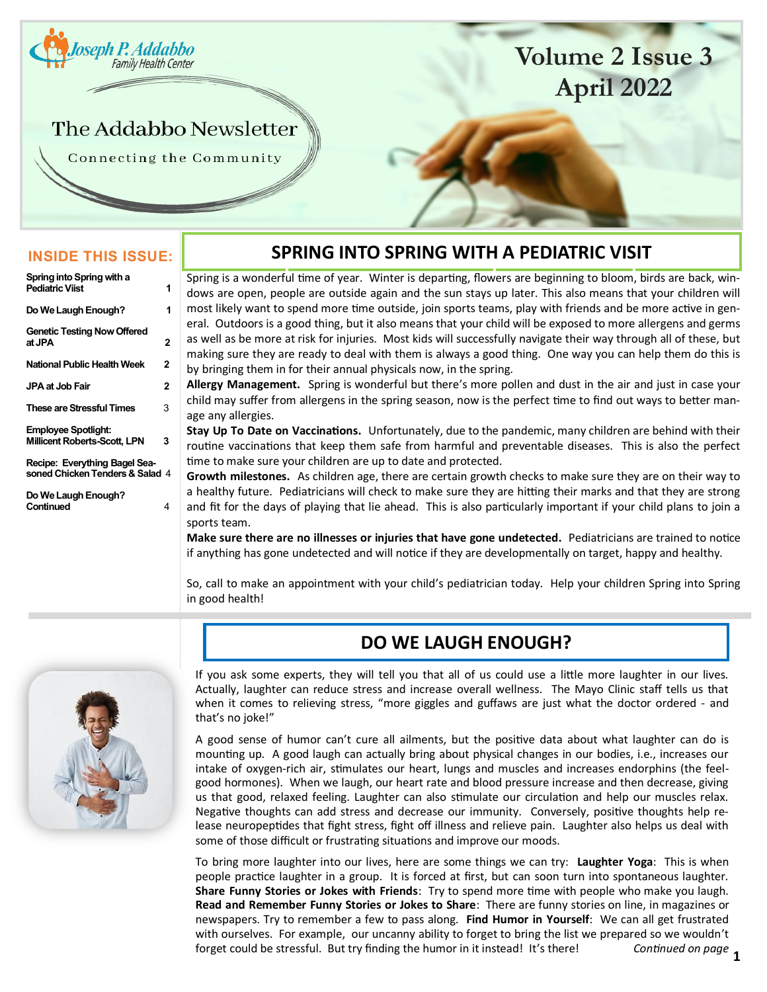<span id="page-0-0"></span>

# **Volume 2 Issue 3 April 2022**

## The Addabbo Newsletter

Connecting the Community

### **INSIDE THIS ISSUE:**

| Spring into Spring with a<br><b>Pediatric Viist</b>               | 1 |
|-------------------------------------------------------------------|---|
|                                                                   |   |
| Do We Laugh Enough?                                               | 1 |
| <b>Genetic Testing Now Offered</b><br>at JPA                      | 2 |
| National Public Health Week                                       | 2 |
| JPA at Job Fair                                                   | 2 |
| These are Stressful Times                                         | 3 |
| <b>Employee Spotlight:</b><br><b>Millicent Roberts-Scott, LPN</b> | 3 |
| Recipe: Everything Bagel Sea-<br>soned Chicken Tenders & Salad 4  |   |
|                                                                   |   |

**Do We Laugh Enough? Continued** 

### **SPRING INTO SPRING WITH A PEDIATRIC VISIT**

Spring is a wonderful time of year. Winter is departing, flowers are beginning to bloom, birds are back, windows are open, people are outside again and the sun stays up later. This also means that your children will most likely want to spend more time outside, join sports teams, play with friends and be more active in general. Outdoors is a good thing, but it also means that your child will be exposed to more allergens and germs as well as be more at risk for injuries. Most kids will successfully navigate their way through all of these, but making sure they are ready to deal with them is always a good thing. One way you can help them do this is

by bringing them in for their annual physicals now, in the spring.

**Allergy Management.** Spring is wonderful but there's more pollen and dust in the air and just in case your child may suffer from allergens in the spring season, now is the perfect time to find out ways to better manage any allergies.

**Stay Up To Date on Vaccinations.** Unfortunately, due to the pandemic, many children are behind with their routine vaccinations that keep them safe from harmful and preventable diseases. This is also the perfect time to make sure your children are up to date and protected.

**Growth milestones.** As children age, there are certain growth checks to make sure they are on their way to a healthy future. Pediatricians will check to make sure they are hitting their marks and that they are strong and fit for the days of playing that lie ahead. This is also particularly important if your child plans to join a sports team.

**Make sure there are no illnesses or injuries that have gone undetected.** Pediatricians are trained to notice if anything has gone undetected and will notice if they are developmentally on target, happy and healthy.

So, call to make an appointment with your child's pediatrician today. Help your children Spring into Spring in good health!



### **DO WE LAUGH ENOUGH?**

If you ask some experts, they will tell you that all of us could use a little more laughter in our lives. Actually, laughter can reduce stress and increase overall wellness. The Mayo Clinic staff tells us that when it comes to relieving stress, "more giggles and guffaws are just what the doctor ordered - and that's no joke!"

A good sense of humor can't cure all ailments, but the positive data about what laughter can do is mounting up. A good laugh can actually bring about physical changes in our bodies, i.e., increases our intake of oxygen-rich air, stimulates our heart, lungs and muscles and increases endorphins (the feelgood hormones). When we laugh, our heart rate and blood pressure increase and then decrease, giving us that good, relaxed feeling. Laughter can also stimulate our circulation and help our muscles relax. Negative thoughts can add stress and decrease our immunity. Conversely, positive thoughts help release neuropeptides that fight stress, fight off illness and relieve pain. Laughter also helps us deal with some of those difficult or frustrating situations and improve our moods.

Continued on page 1 To bring more laughter into our lives, here are some things we can try: **Laughter Yoga**: This is when people practice laughter in a group. It is forced at first, but can soon turn into spontaneous laughter. **Share Funny Stories or Jokes with Friends**: Try to spend more time with people who make you laugh. **Read and Remember Funny Stories or Jokes to Share**: There are funny stories on line, in magazines or newspapers. Try to remember a few to pass along. **Find Humor in Yourself**: We can all get frustrated with ourselves. For example, our uncanny ability to forget to bring the list we prepared so we wouldn't forget could be stressful. But try finding the humor in it instead! It's there!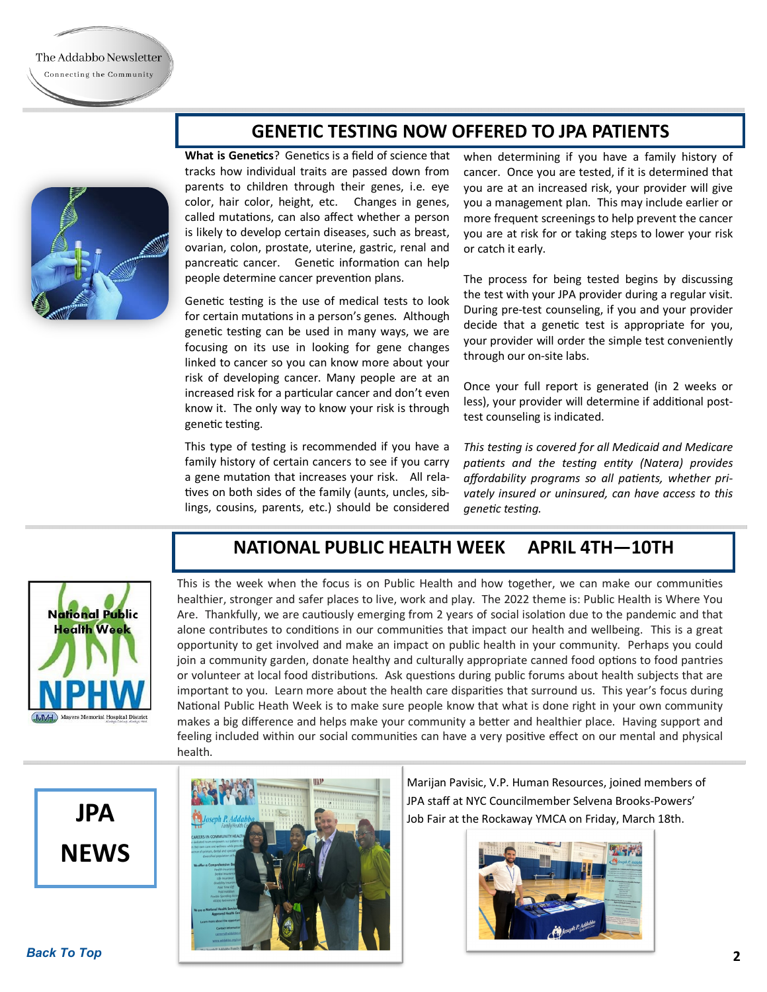**What is Genetics**? Genetics is a field of science that tracks how individual traits are passed down from parents to children through their genes, i.e. eye color, hair color, height, etc. Changes in genes,

called mutations, can also affect whether a person is likely to develop certain diseases, such as breast, ovarian, colon, prostate, uterine, gastric, renal and pancreatic cancer. Genetic information can help people determine cancer prevention plans.

Genetic testing is the use of medical tests to look for certain mutations in a person's genes. Although genetic testing can be used in many ways, we are focusing on its use in looking for gene changes linked to cancer so you can know more about your risk of developing cancer. Many people are at an increased risk for a particular cancer and don't even know it. The only way to know your risk is through genetic testing.

This type of testing is recommended if you have a family history of certain cancers to see if you carry a gene mutation that increases your risk. All relatives on both sides of the family (aunts, uncles, siblings, cousins, parents, etc.) should be considered when determining if you have a family history of cancer. Once you are tested, if it is determined that you are at an increased risk, your provider will give you a management plan. This may include earlier or more frequent screenings to help prevent the cancer you are at risk for or taking steps to lower your risk or catch it early.

The process for being tested begins by discussing the test with your JPA provider during a regular visit. During pre-test counseling, if you and your provider decide that a genetic test is appropriate for you, your provider will order the simple test conveniently through our on-site labs.

Once your full report is generated (in 2 weeks or less), your provider will determine if additional posttest counseling is indicated.

*This testing is covered for all Medicaid and Medicare patients and the testing entity (Natera) provides affordability programs so all patients, whether privately insured or uninsured, can have access to this genetic testing.* 



**NATIONAL PUBLIC HEALTH WEEK APRIL 4TH—10TH**

**GENETIC TESTING NOW OFFERED TO JPA PATIENTS** 

This is the week when the focus is on Public Health and how together, we can make our communities healthier, stronger and safer places to live, work and play. The 2022 theme is: Public Health is Where You Are. Thankfully, we are cautiously emerging from 2 years of social isolation due to the pandemic and that alone contributes to conditions in our communities that impact our health and wellbeing. This is a great opportunity to get involved and make an impact on public health in your community. Perhaps you could join a community garden, donate healthy and culturally appropriate canned food options to food pantries or volunteer at local food distributions. Ask questions during public forums about health subjects that are important to you. Learn more about the health care disparities that surround us. This year's focus during National Public Heath Week is to make sure people know that what is done right in your own community makes a big difference and helps make your community a better and healthier place. Having support and feeling included within our social communities can have a very positive effect on our mental and physical health.





Marijan Pavisic, V.P. Human Resources, joined members of JPA staff at NYC Councilmember Selvena Brooks-Powers' Job Fair at the Rockaway YMCA on Friday, March 18th.

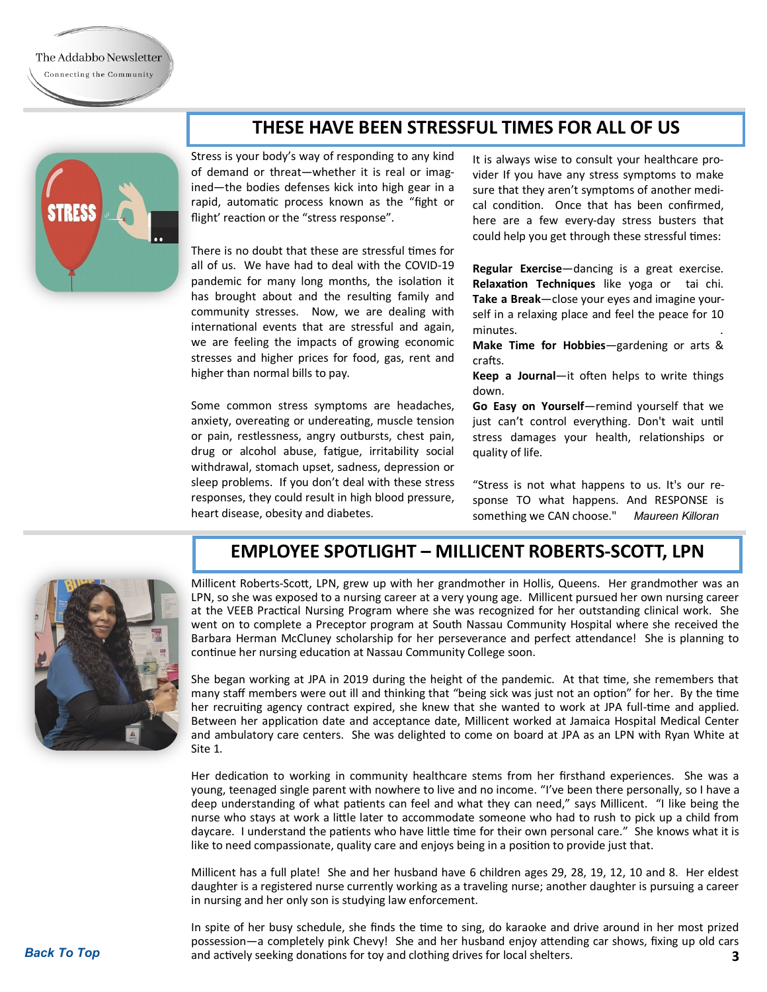### **THESE HAVE BEEN STRESSFUL TIMES FOR ALL OF US**



Stress is your body's way of responding to any kind of demand or threat—whether it is real or imagined—the bodies defenses kick into high gear in a rapid, automatic process known as the "fight or flight' reaction or the "stress response".

There is no doubt that these are stressful times for all of us. We have had to deal with the COVID-19 pandemic for many long months, the isolation it has brought about and the resulting family and community stresses. Now, we are dealing with international events that are stressful and again, we are feeling the impacts of growing economic stresses and higher prices for food, gas, rent and higher than normal bills to pay.

Some common stress symptoms are headaches, anxiety, overeating or undereating, muscle tension or pain, restlessness, angry outbursts, chest pain, drug or alcohol abuse, fatigue, irritability social withdrawal, stomach upset, sadness, depression or sleep problems. If you don't deal with these stress responses, they could result in high blood pressure, heart disease, obesity and diabetes.

It is always wise to consult your healthcare provider If you have any stress symptoms to make sure that they aren't symptoms of another medical condition. Once that has been confirmed, here are a few every-day stress busters that could help you get through these stressful times:

**Regular Exercise**—dancing is a great exercise. **Relaxation Techniques** like yoga or tai chi. **Take a Break**—close your eyes and imagine yourself in a relaxing place and feel the peace for 10 minutes. .

**Make Time for Hobbies**—gardening or arts & crafts.

**Keep a Journal**—it often helps to write things down.

**Go Easy on Yourself**—remind yourself that we just can't control everything. Don't wait until stress damages your health, relationships or quality of life.

"Stress is not what happens to us. It's our response TO what happens. And RESPONSE is something we CAN choose." *Maureen Killoran*



### **EMPLOYEE SPOTLIGHT – MILLICENT ROBERTS-SCOTT, LPN**

Millicent Roberts-Scott, LPN, grew up with her grandmother in Hollis, Queens. Her grandmother was an LPN, so she was exposed to a nursing career at a very young age. Millicent pursued her own nursing career at the VEEB Practical Nursing Program where she was recognized for her outstanding clinical work. She went on to complete a Preceptor program at South Nassau Community Hospital where she received the Barbara Herman McCluney scholarship for her perseverance and perfect attendance! She is planning to continue her nursing education at Nassau Community College soon.

She began working at JPA in 2019 during the height of the pandemic. At that time, she remembers that many staff members were out ill and thinking that "being sick was just not an option" for her. By the time her recruiting agency contract expired, she knew that she wanted to work at JPA full-time and applied. Between her application date and acceptance date, Millicent worked at Jamaica Hospital Medical Center and ambulatory care centers. She was delighted to come on board at JPA as an LPN with Ryan White at Site 1.

Her dedication to working in community healthcare stems from her firsthand experiences. She was a young, teenaged single parent with nowhere to live and no income. "I've been there personally, so I have a deep understanding of what patients can feel and what they can need," says Millicent. "I like being the nurse who stays at work a little later to accommodate someone who had to rush to pick up a child from daycare. I understand the patients who have little time for their own personal care." She knows what it is like to need compassionate, quality care and enjoys being in a position to provide just that.

Millicent has a full plate! She and her husband have 6 children ages 29, 28, 19, 12, 10 and 8. Her eldest daughter is a registered nurse currently working as a traveling nurse; another daughter is pursuing a career in nursing and her only son is studying law enforcement.

**[Back To Top](#page-0-0) 3** and actively seeking donations for toy and clothing drives for local shelters. In spite of her busy schedule, she finds the time to sing, do karaoke and drive around in her most prized possession—a completely pink Chevy! She and her husband enjoy attending car shows, fixing up old cars